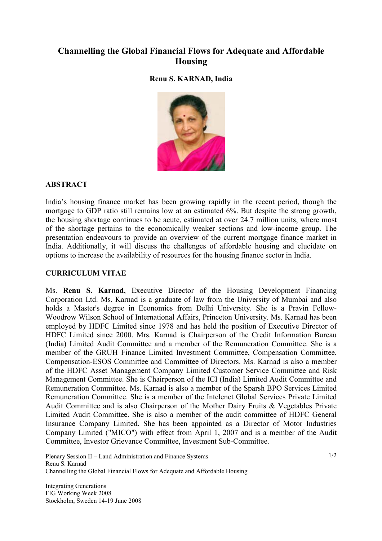# **Channelling the Global Financial Flows for Adequate and Affordable Housing**

## **Renu S. KARNAD, India**



### **ABSTRACT**

India's housing finance market has been growing rapidly in the recent period, though the mortgage to GDP ratio still remains low at an estimated 6%. But despite the strong growth, the housing shortage continues to be acute, estimated at over 24.7 million units, where most of the shortage pertains to the economically weaker sections and low-income group. The presentation endeavours to provide an overview of the current mortgage finance market in India. Additionally, it will discuss the challenges of affordable housing and elucidate on options to increase the availability of resources for the housing finance sector in India.

#### **CURRICULUM VITAE**

Ms. **Renu S. Karnad**, Executive Director of the Housing Development Financing Corporation Ltd. Ms. Karnad is a graduate of law from the University of Mumbai and also holds a Master's degree in Economics from Delhi University. She is a Pravin Fellow-Woodrow Wilson School of International Affairs, Princeton University. Ms. Karnad has been employed by HDFC Limited since 1978 and has held the position of Executive Director of HDFC Limited since 2000. Mrs. Karnad is Chairperson of the Credit Information Bureau (India) Limited Audit Committee and a member of the Remuneration Committee. She is a member of the GRUH Finance Limited Investment Committee, Compensation Committee, Compensation-ESOS Committee and Committee of Directors. Ms. Karnad is also a member of the HDFC Asset Management Company Limited Customer Service Committee and Risk Management Committee. She is Chairperson of the ICI (India) Limited Audit Committee and Remuneration Committee. Ms. Karnad is also a member of the Sparsh BPO Services Limited Remuneration Committee. She is a member of the Intelenet Global Services Private Limited Audit Committee and is also Chairperson of the Mother Dairy Fruits & Vegetables Private Limited Audit Committee. She is also a member of the audit committee of HDFC General Insurance Company Limited. She has been appointed as a Director of Motor Industries Company Limited ("MICO") with effect from April 1, 2007 and is a member of the Audit Committee, Investor Grievance Committee, Investment Sub-Committee.